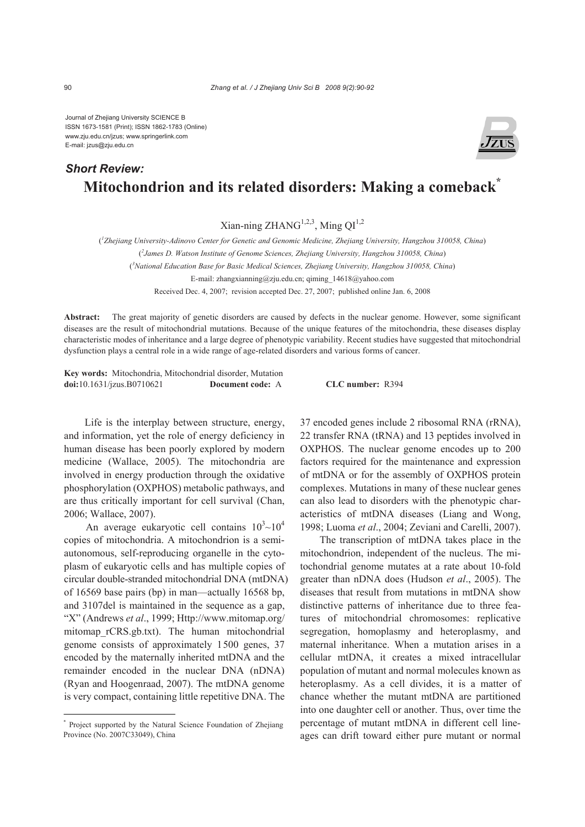Journal of Zhejiang University SCIENCE B ISSN 1673-1581 (Print); ISSN 1862-1783 (Online) www.zju.edu.cn/jzus; www.springerlink.com E-mail: jzus@zju.edu.cn

## **Mitochondrion and its related disorders: Making a comeback\*** *Short Review:*

Xian-ning ZHANG<sup>1,2,3</sup>, Ming OI<sup>1,2</sup>

( *1 Zhejiang University-Adinovo Center for Genetic and Genomic Medicine, Zhejiang University, Hangzhou 310058, China*)

( *2 James D. Watson Institute of Genome Sciences, Zhejiang University, Hangzhou 310058, China*)

( *3 National Education Base for Basic Medical Sciences, Zhejiang University, Hangzhou 310058, China*)

E-mail: zhangxianning@zju.edu.cn; qiming\_14618@yahoo.com

Received Dec. 4, 2007; revision accepted Dec. 27, 2007; published online Jan. 6, 2008

**Abstract:** The great majority of genetic disorders are caused by defects in the nuclear genome. However, some significant diseases are the result of mitochondrial mutations. Because of the unique features of the mitochondria, these diseases display characteristic modes of inheritance and a large degree of phenotypic variability. Recent studies have suggested that mitochondrial dysfunction plays a central role in a wide range of age-related disorders and various forms of cancer.

**Key words:** Mitochondria, Mitochondrial disorder, Mutation **doi:**10.1631/jzus.B0710621 **Document code:** A **CLC number:** R394

Life is the interplay between structure, energy, and information, yet the role of energy deficiency in human disease has been poorly explored by modern medicine (Wallace, 2005). The mitochondria are involved in energy production through the oxidative phosphorylation (OXPHOS) metabolic pathways, and are thus critically important for cell survival (Chan, 2006; Wallace, 2007).

An average eukaryotic cell contains  $10^3$  ~ $10^4$ copies of mitochondria. A mitochondrion is a semiautonomous, self-reproducing organelle in the cytoplasm of eukaryotic cells and has multiple copies of circular double-stranded mitochondrial DNA (mtDNA) of 16569 base pairs (bp) in man—actually 16568 bp, and 3107del is maintained in the sequence as a gap, "X" (Andrews *et al*., 1999; Http://www.mitomap.org/ mitomap\_rCRS.gb.txt). The human mitochondrial genome consists of approximately 1500 genes, 37 encoded by the maternally inherited mtDNA and the remainder encoded in the nuclear DNA (nDNA) (Ryan and Hoogenraad, 2007). The mtDNA genome is very compact, containing little repetitive DNA. The

37 encoded genes include 2 ribosomal RNA (rRNA), 22 transfer RNA (tRNA) and 13 peptides involved in OXPHOS. The nuclear genome encodes up to 200 factors required for the maintenance and expression of mtDNA or for the assembly of OXPHOS protein complexes. Mutations in many of these nuclear genes can also lead to disorders with the phenotypic characteristics of mtDNA diseases (Liang and Wong, 1998; Luoma *et al*., 2004; Zeviani and Carelli, 2007).

The transcription of mtDNA takes place in the mitochondrion, independent of the nucleus. The mitochondrial genome mutates at a rate about 10-fold greater than nDNA does (Hudson *et al*., 2005). The diseases that result from mutations in mtDNA show distinctive patterns of inheritance due to three features of mitochondrial chromosomes: replicative segregation, homoplasmy and heteroplasmy, and maternal inheritance. When a mutation arises in a cellular mtDNA, it creates a mixed intracellular population of mutant and normal molecules known as heteroplasmy. As a cell divides, it is a matter of chance whether the mutant mtDNA are partitioned into one daughter cell or another. Thus, over time the percentage of mutant mtDNA in different cell lineages can drift toward either pure mutant or normal

<sup>\*</sup> Project supported by the Natural Science Foundation of Zhejiang Province (No. 2007C33049), China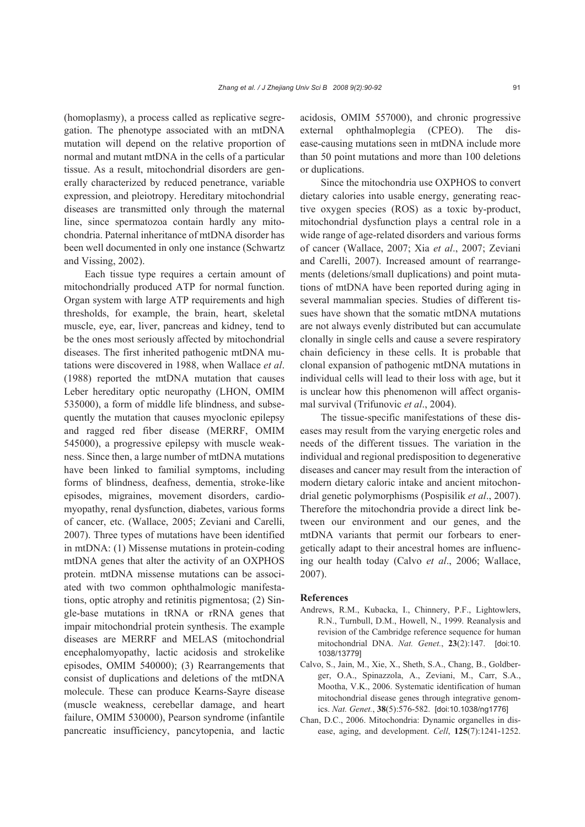(homoplasmy), a process called as replicative segregation. The phenotype associated with an mtDNA mutation will depend on the relative proportion of normal and mutant mtDNA in the cells of a particular tissue. As a result, mitochondrial disorders are generally characterized by reduced penetrance, variable expression, and pleiotropy. Hereditary mitochondrial diseases are transmitted only through the maternal line, since spermatozoa contain hardly any mitochondria. Paternal inheritance of mtDNA disorder has been well documented in only one instance (Schwartz and Vissing, 2002).

Each tissue type requires a certain amount of mitochondrially produced ATP for normal function. Organ system with large ATP requirements and high thresholds, for example, the brain, heart, skeletal muscle, eye, ear, liver, pancreas and kidney, tend to be the ones most seriously affected by mitochondrial diseases. The first inherited pathogenic mtDNA mutations were discovered in 1988, when Wallace *et al*. (1988) reported the mtDNA mutation that causes Leber hereditary optic neuropathy (LHON, OMIM 535000), a form of middle life blindness, and subsequently the mutation that causes myoclonic epilepsy and ragged red fiber disease (MERRF, OMIM 545000), a progressive epilepsy with muscle weakness. Since then, a large number of mtDNA mutations have been linked to familial symptoms, including forms of blindness, deafness, dementia, stroke-like episodes, migraines, movement disorders, cardiomyopathy, renal dysfunction, diabetes, various forms of cancer, etc. (Wallace, 2005; Zeviani and Carelli, 2007). Three types of mutations have been identified in mtDNA: (1) Missense mutations in protein-coding mtDNA genes that alter the activity of an OXPHOS protein. mtDNA missense mutations can be associated with two common ophthalmologic manifestations, optic atrophy and retinitis pigmentosa; (2) Single-base mutations in tRNA or rRNA genes that impair mitochondrial protein synthesis. The example diseases are MERRF and MELAS (mitochondrial encephalomyopathy, lactic acidosis and strokelike episodes, OMIM 540000); (3) Rearrangements that consist of duplications and deletions of the mtDNA molecule. These can produce Kearns-Sayre disease (muscle weakness, cerebellar damage, and heart failure, OMIM 530000), Pearson syndrome (infantile pancreatic insufficiency, pancytopenia, and lactic acidosis, OMIM 557000), and chronic progressive external ophthalmoplegia (CPEO). The disease-causing mutations seen in mtDNA include more than 50 point mutations and more than 100 deletions or duplications.

Since the mitochondria use OXPHOS to convert dietary calories into usable energy, generating reactive oxygen species (ROS) as a toxic by-product, mitochondrial dysfunction plays a central role in a wide range of age-related disorders and various forms of cancer (Wallace, 2007; Xia *et al*., 2007; Zeviani and Carelli, 2007). Increased amount of rearrangements (deletions/small duplications) and point mutations of mtDNA have been reported during aging in several mammalian species. Studies of different tissues have shown that the somatic mtDNA mutations are not always evenly distributed but can accumulate clonally in single cells and cause a severe respiratory chain deficiency in these cells. It is probable that clonal expansion of pathogenic mtDNA mutations in individual cells will lead to their loss with age, but it is unclear how this phenomenon will affect organismal survival (Trifunovic *et al*., 2004).

The tissue-specific manifestations of these diseases may result from the varying energetic roles and needs of the different tissues. The variation in the individual and regional predisposition to degenerative diseases and cancer may result from the interaction of modern dietary caloric intake and ancient mitochondrial genetic polymorphisms (Pospisilik *et al*., 2007). Therefore the mitochondria provide a direct link between our environment and our genes, and the mtDNA variants that permit our forbears to energetically adapt to their ancestral homes are influencing our health today (Calvo *et al*., 2006; Wallace, 2007).

## **References**

- Andrews, R.M., Kubacka, I., Chinnery, P.F., Lightowlers, R.N., Turnbull, D.M., Howell, N., 1999. Reanalysis and revision of the Cambridge reference sequence for human mitochondrial DNA. *Nat. Genet.*, **23**(2):147. [doi:10. 1038/13779]
- Calvo, S., Jain, M., Xie, X., Sheth, S.A., Chang, B., Goldberger, O.A., Spinazzola, A., Zeviani, M., Carr, S.A., Mootha, V.K., 2006. Systematic identification of human mitochondrial disease genes through integrative genomics. *Nat. Genet.*, **38**(5):576-582. [doi:10.1038/ng1776]
- Chan, D.C., 2006. Mitochondria: Dynamic organelles in disease, aging, and development. *Cell*, **125**(7):1241-1252.